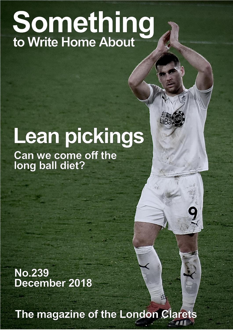## Something<br>to Write Home About

## Lean pickings

Can we come off the<br>long ball diet?

**No.239** December 2018

The magazine of the London Clarets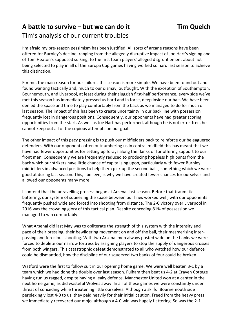## **A battle to survive – but we can do it Tim Quelch** Tim's analysis of our current troubles

I'm afraid my pre-season pessimism has been justified. All sorts of arcane reasons have been offered for Burnley's decline, ranging from the allegedly disruptive impact of Joe Hart's signing and of Tom Heaton's supposed sulking, to the first team players' alleged disgruntlement about not being selected to play in all of the Europa Cup games having worked so hard last season to achieve this distinction.

For me, the main reason for our failures this season is more simple. We have been found out and found wanting tactically and, much to our dismay, outfought. With the exception of Southampton, Bournemouth, and Liverpool, at least during their sluggish first-half performance, every side we've met this season has immediately pressed us hard and in force, deep inside our half. We have been denied the space and time to play comfortably from the back as we managed to do for much of last season. The impact of this has been to create uncertainty in our back line with possession frequently lost in dangerous positions. Consequently, our opponents have had greater scoring opportunities from the start. As well as Joe Hart has performed, although he is not error-free, he cannot keep out all of the copious attempts on our goal.

The other impact of this pacy pressing is to push our midfielders back to reinforce our beleaguered defenders. With our opponents often outnumbering us in central midfield this has meant that we have had fewer opportunities for setting up forays along the flanks or for offering support to our front men. Consequently we are frequently reduced to producing hopeless high punts from the back which our strikers have little chance of capitalising upon, particularly with fewer Burnley midfielders in advanced positions to help them pick up the second balls, something which we were good at during last season. This, I believe, is why we have created fewer chances for ourselves and allowed our opponents many more.

I contend that the unravelling process began at Arsenal last season. Before that traumatic battering, our system of squeezing the space between our lines worked well, with our opponents frequently pushed wide and forced into shooting from distance. The 2-0 victory over Liverpool in 2016 was the crowning glory of this tactical plan. Despite conceding 81% of possession we managed to win comfortably.

What Arsenal did last May was to obliterate the strength of this system with the intensity and pace of their pressing, their bewildering movement on and off the ball, their mesmerising interpassing and ferocious shooting. With two Arsenal men always posted wide on the flanks we were forced to deplete our narrow fortress by assigning players to stop the supply of dangerous crosses from both wingers. This catastrophic defeat demonstrated to all who watched how our defence could be dismantled, how the discipline of our squeezed two banks of four could be broken.

Watford were the first to follow suit in our opening home game. We were well beaten 3-1 by a team which we had done the double over last season. Fulham then beat us 4-2 at Craven Cottage having run us ragged, despite having a leaky defence. Manchester United won at a canter in the next home game, as did wasteful Wolves away. In all of these games we were constantly under threat of conceding while threatening little ourselves. Although a skilful Bournemouth side perplexingly lost 4-0 to us, they paid heavily for their initial caution. Freed from the heavy press we immediately recovered our mojo, although a 4-0 win was hugely flattering. So was the 2-1